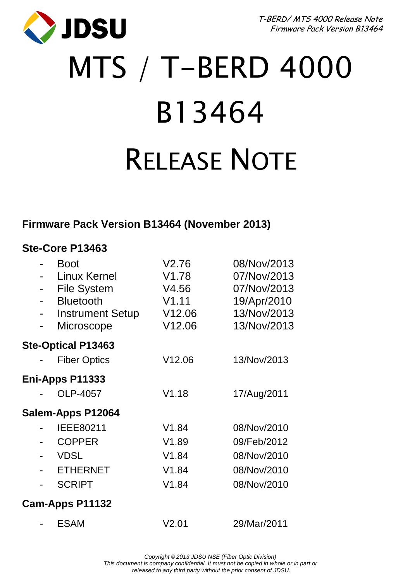**JDSU** 

T-BERD/ MTS 4000 Release Note Firmware Pack Version B13464

# MTS / T-BERD 4000 B13464 RELEASE NOTE

#### **Firmware Pack Version B13464 (November 2013)**

#### **Ste-Core P13463**

|                 |  | <b>Boot</b>               | V2.76  | 08/Nov/2013 |
|-----------------|--|---------------------------|--------|-------------|
|                 |  | Linux Kernel              | V1.78  | 07/Nov/2013 |
|                 |  | <b>File System</b>        | V4.56  | 07/Nov/2013 |
|                 |  | <b>Bluetooth</b>          | V1.11  | 19/Apr/2010 |
|                 |  | <b>Instrument Setup</b>   | V12.06 | 13/Nov/2013 |
|                 |  | Microscope                | V12.06 | 13/Nov/2013 |
|                 |  | <b>Ste-Optical P13463</b> |        |             |
|                 |  | <b>Fiber Optics</b>       | V12.06 | 13/Nov/2013 |
| Eni-Apps P11333 |  |                           |        |             |
|                 |  | OLP-4057                  | V1.18  | 17/Aug/2011 |
|                 |  | Salem-Apps P12064         |        |             |
|                 |  | IEEE80211                 | V1.84  | 08/Nov/2010 |
|                 |  | <b>COPPER</b>             | V1.89  | 09/Feb/2012 |
|                 |  | <b>VDSL</b>               | V1.84  | 08/Nov/2010 |
|                 |  | <b>ETHERNET</b>           | V1.84  | 08/Nov/2010 |
|                 |  | <b>SCRIPT</b>             | V1.84  | 08/Nov/2010 |
|                 |  | Cam-Apps P11132           |        |             |
|                 |  | ESAM                      | V2.01  | 29/Mar/2011 |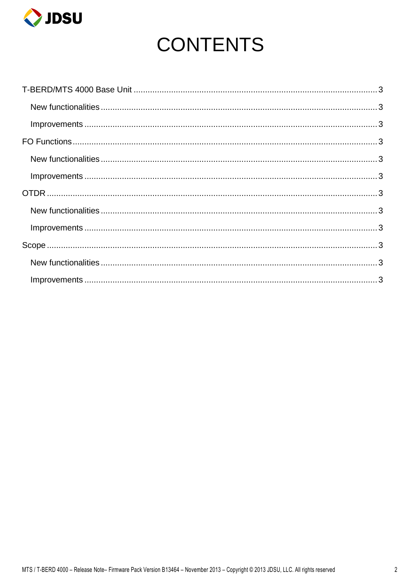

# **CONTENTS**